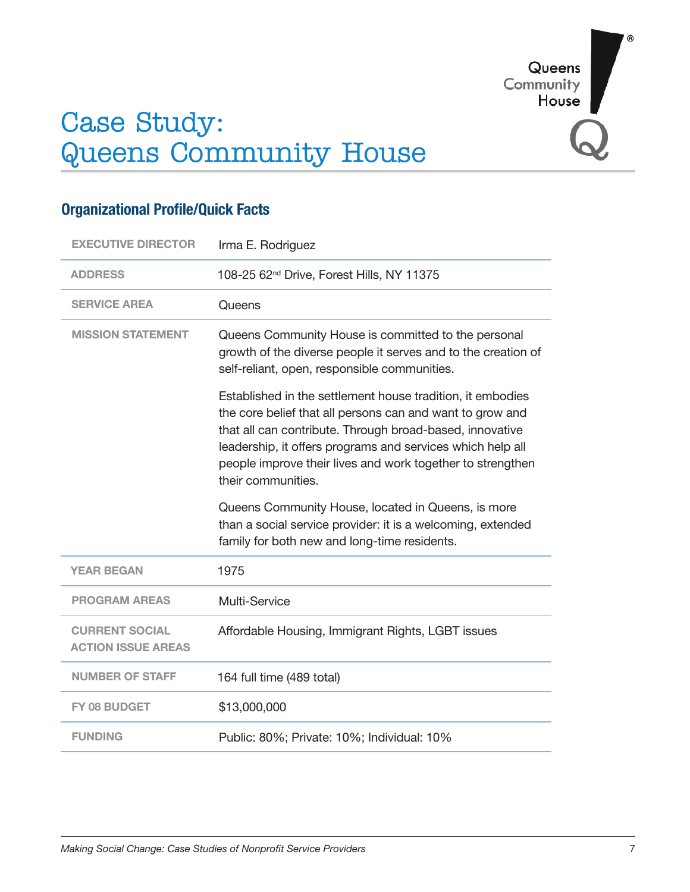Queens Community House

# Case Study: Queens Community House

| <b>EXECUTIVE DIRECTOR</b>                          | Irma E. Rodriguez                                                                                                                                                                                                                                                                                                                     |
|----------------------------------------------------|---------------------------------------------------------------------------------------------------------------------------------------------------------------------------------------------------------------------------------------------------------------------------------------------------------------------------------------|
| <b>ADDRESS</b>                                     | 108-25 62 <sup>nd</sup> Drive, Forest Hills, NY 11375                                                                                                                                                                                                                                                                                 |
| <b>SERVICE AREA</b>                                | Queens                                                                                                                                                                                                                                                                                                                                |
| <b>MISSION STATEMENT</b>                           | Queens Community House is committed to the personal<br>growth of the diverse people it serves and to the creation of<br>self-reliant, open, responsible communities.                                                                                                                                                                  |
|                                                    | Established in the settlement house tradition, it embodies<br>the core belief that all persons can and want to grow and<br>that all can contribute. Through broad-based, innovative<br>leadership, it offers programs and services which help all<br>people improve their lives and work together to strengthen<br>their communities. |
|                                                    |                                                                                                                                                                                                                                                                                                                                       |
|                                                    | Queens Community House, located in Queens, is more<br>than a social service provider: it is a welcoming, extended<br>family for both new and long-time residents.                                                                                                                                                                     |
| <b>YEAR BEGAN</b>                                  | 1975                                                                                                                                                                                                                                                                                                                                  |
| <b>PROGRAM AREAS</b>                               | Multi-Service                                                                                                                                                                                                                                                                                                                         |
| <b>CURRENT SOCIAL</b><br><b>ACTION ISSUE AREAS</b> | Affordable Housing, Immigrant Rights, LGBT issues                                                                                                                                                                                                                                                                                     |
| <b>NUMBER OF STAFF</b>                             | 164 full time (489 total)                                                                                                                                                                                                                                                                                                             |
| FY 08 BUDGET                                       | \$13,000,000                                                                                                                                                                                                                                                                                                                          |

## **Organizational Profile/Quick Facts**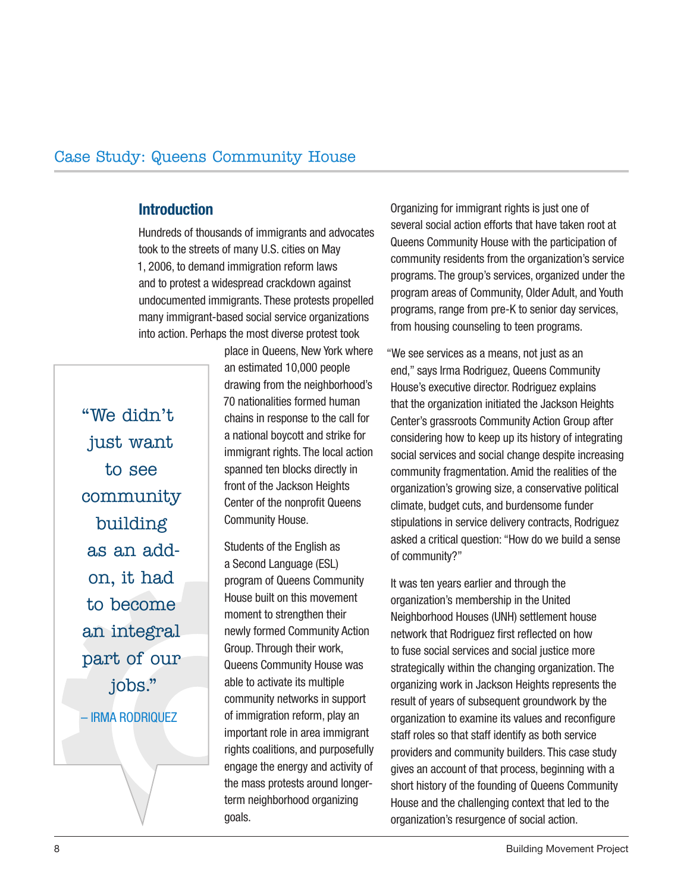#### **Introduction**

Hundreds of thousands of immigrants and advocates took to the streets of many U.S. cities on May 1, 2006, to demand immigration reform laws and to protest a widespread crackdown against undocumented immigrants. These protests propelled many immigrant-based social service organizations into action. Perhaps the most diverse protest took

"We didn't just want to see community building as an addon, it had to become an integral part of our jobs." – Irma Rodriquez

place in Queens, New York where an estimated 10,000 people drawing from the neighborhood's 70 nationalities formed human chains in response to the call for a national boycott and strike for immigrant rights. The local action spanned ten blocks directly in front of the Jackson Heights Center of the nonprofit Queens Community House.

Students of the English as a Second Language (ESL) program of Queens Community House built on this movement moment to strengthen their newly formed Community Action Group. Through their work, Queens Community House was able to activate its multiple community networks in support of immigration reform, play an important role in area immigrant rights coalitions, and purposefully engage the energy and activity of the mass protests around longerterm neighborhood organizing goals.

Organizing for immigrant rights is just one of several social action efforts that have taken root at Queens Community House with the participation of community residents from the organization's service programs. The group's services, organized under the program areas of Community, Older Adult, and Youth programs, range from pre-K to senior day services, from housing counseling to teen programs.

"We see services as a means, not just as an end," says Irma Rodriguez, Queens Community House's executive director. Rodriguez explains that the organization initiated the Jackson Heights Center's grassroots Community Action Group after considering how to keep up its history of integrating social services and social change despite increasing community fragmentation. Amid the realities of the organization's growing size, a conservative political climate, budget cuts, and burdensome funder stipulations in service delivery contracts, Rodriguez asked a critical question: "How do we build a sense of community?"

It was ten years earlier and through the organization's membership in the United Neighborhood Houses (UNH) settlement house network that Rodriguez first reflected on how to fuse social services and social justice more strategically within the changing organization. The organizing work in Jackson Heights represents the result of years of subsequent groundwork by the organization to examine its values and reconfigure staff roles so that staff identify as both service providers and community builders. This case study gives an account of that process, beginning with a short history of the founding of Queens Community House and the challenging context that led to the organization's resurgence of social action.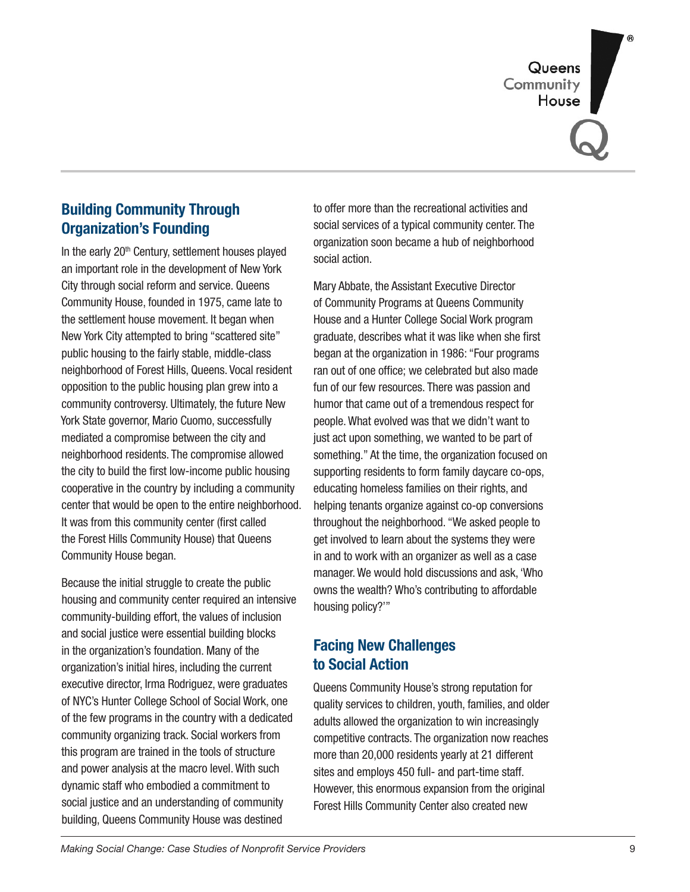Queens<br>Community<br>House

## **Building Community Through Organization's Founding**

In the early  $20<sup>th</sup>$  Century, settlement houses played an important role in the development of New York City through social reform and service. Queens Community House, founded in 1975, came late to the settlement house movement. It began when New York City attempted to bring "scattered site" public housing to the fairly stable, middle-class neighborhood of Forest Hills, Queens. Vocal resident opposition to the public housing plan grew into a community controversy. Ultimately, the future New York State governor, Mario Cuomo, successfully mediated a compromise between the city and neighborhood residents. The compromise allowed the city to build the first low-income public housing cooperative in the country by including a community center that would be open to the entire neighborhood. It was from this community center (first called the Forest Hills Community House) that Queens Community House began.

Because the initial struggle to create the public housing and community center required an intensive community-building effort, the values of inclusion and social justice were essential building blocks in the organization's foundation. Many of the organization's initial hires, including the current executive director, Irma Rodriguez, were graduates of NYC's Hunter College School of Social Work, one of the few programs in the country with a dedicated community organizing track. Social workers from this program are trained in the tools of structure and power analysis at the macro level. With such dynamic staff who embodied a commitment to social justice and an understanding of community building, Queens Community House was destined

to offer more than the recreational activities and social services of a typical community center. The organization soon became a hub of neighborhood social action.

Mary Abbate, the Assistant Executive Director of Community Programs at Queens Community House and a Hunter College Social Work program graduate, describes what it was like when she first began at the organization in 1986: "Four programs ran out of one office; we celebrated but also made fun of our few resources. There was passion and humor that came out of a tremendous respect for people. What evolved was that we didn't want to just act upon something, we wanted to be part of something." At the time, the organization focused on supporting residents to form family daycare co-ops, educating homeless families on their rights, and helping tenants organize against co-op conversions throughout the neighborhood. "We asked people to get involved to learn about the systems they were in and to work with an organizer as well as a case manager. We would hold discussions and ask, 'Who owns the wealth? Who's contributing to affordable housing policy?'"

#### **Facing New Challenges to Social Action**

Queens Community House's strong reputation for quality services to children, youth, families, and older adults allowed the organization to win increasingly competitive contracts. The organization now reaches more than 20,000 residents yearly at 21 different sites and employs 450 full- and part-time staff. However, this enormous expansion from the original Forest Hills Community Center also created new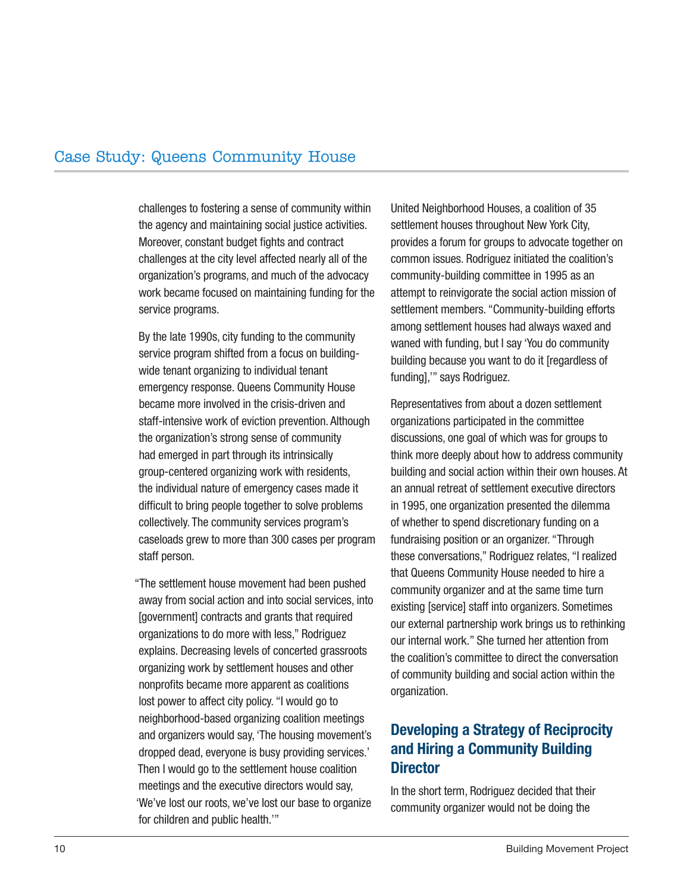challenges to fostering a sense of community within the agency and maintaining social justice activities. Moreover, constant budget fights and contract challenges at the city level affected nearly all of the organization's programs, and much of the advocacy work became focused on maintaining funding for the service programs.

By the late 1990s, city funding to the community service program shifted from a focus on buildingwide tenant organizing to individual tenant emergency response. Queens Community House became more involved in the crisis-driven and staff-intensive work of eviction prevention. Although the organization's strong sense of community had emerged in part through its intrinsically group-centered organizing work with residents, the individual nature of emergency cases made it difficult to bring people together to solve problems collectively. The community services program's caseloads grew to more than 300 cases per program staff person.

"The settlement house movement had been pushed away from social action and into social services, into [government] contracts and grants that required organizations to do more with less," Rodriguez explains. Decreasing levels of concerted grassroots organizing work by settlement houses and other nonprofits became more apparent as coalitions lost power to affect city policy. "I would go to neighborhood-based organizing coalition meetings and organizers would say, 'The housing movement's dropped dead, everyone is busy providing services.' Then I would go to the settlement house coalition meetings and the executive directors would say, 'We've lost our roots, we've lost our base to organize for children and public health.'"

United Neighborhood Houses, a coalition of 35 settlement houses throughout New York City, provides a forum for groups to advocate together on common issues. Rodriguez initiated the coalition's community-building committee in 1995 as an attempt to reinvigorate the social action mission of settlement members. "Community-building efforts among settlement houses had always waxed and waned with funding, but I say 'You do community building because you want to do it [regardless of funding],'" says Rodriguez.

Representatives from about a dozen settlement organizations participated in the committee discussions, one goal of which was for groups to think more deeply about how to address community building and social action within their own houses. At an annual retreat of settlement executive directors in 1995, one organization presented the dilemma of whether to spend discretionary funding on a fundraising position or an organizer. "Through these conversations," Rodriguez relates, "I realized that Queens Community House needed to hire a community organizer and at the same time turn existing [service] staff into organizers. Sometimes our external partnership work brings us to rethinking our internal work." She turned her attention from the coalition's committee to direct the conversation of community building and social action within the organization.

## **Developing a Strategy of Reciprocity and Hiring a Community Building Director**

In the short term, Rodriguez decided that their community organizer would not be doing the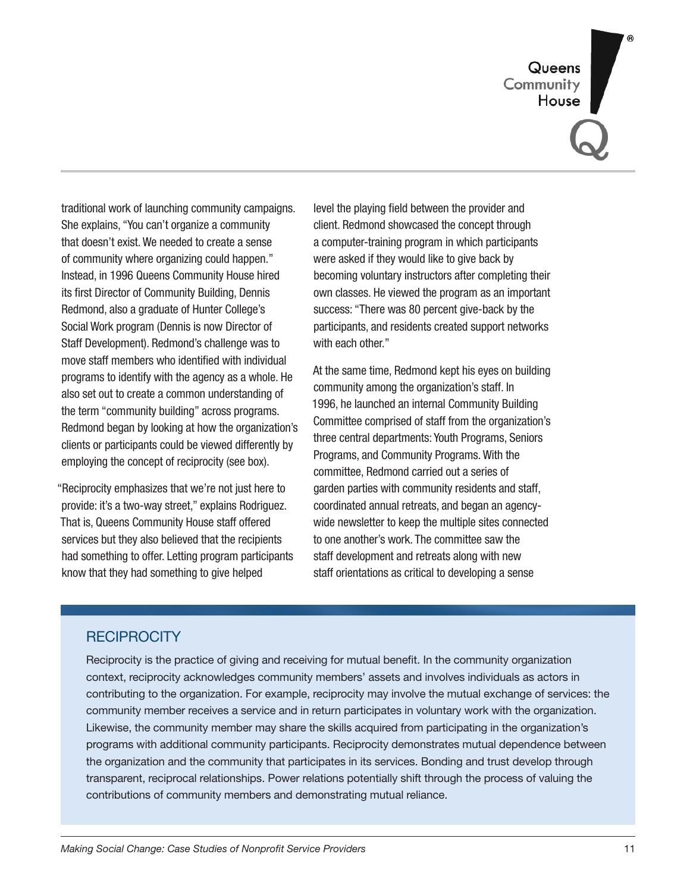Queens<br>Community House

traditional work of launching community campaigns. She explains, "You can't organize a community that doesn't exist. We needed to create a sense of community where organizing could happen." Instead, in 1996 Queens Community House hired its first Director of Community Building, Dennis Redmond, also a graduate of Hunter College's Social Work program (Dennis is now Director of Staff Development). Redmond's challenge was to move staff members who identified with individual programs to identify with the agency as a whole. He also set out to create a common understanding of the term "community building" across programs. Redmond began by looking at how the organization's clients or participants could be viewed differently by employing the concept of reciprocity (see box).

"Reciprocity emphasizes that we're not just here to provide: it's a two-way street," explains Rodriguez. That is, Queens Community House staff offered services but they also believed that the recipients had something to offer. Letting program participants know that they had something to give helped

level the playing field between the provider and client. Redmond showcased the concept through a computer-training program in which participants were asked if they would like to give back by becoming voluntary instructors after completing their own classes. He viewed the program as an important success: "There was 80 percent give-back by the participants, and residents created support networks with each other."

At the same time, Redmond kept his eyes on building community among the organization's staff. In 1996, he launched an internal Community Building Committee comprised of staff from the organization's three central departments: Youth Programs, Seniors Programs, and Community Programs. With the committee, Redmond carried out a series of garden parties with community residents and staff, coordinated annual retreats, and began an agencywide newsletter to keep the multiple sites connected to one another's work. The committee saw the staff development and retreats along with new staff orientations as critical to developing a sense

#### **RECIPROCITY**

Reciprocity is the practice of giving and receiving for mutual benefit. In the community organization context, reciprocity acknowledges community members' assets and involves individuals as actors in contributing to the organization. For example, reciprocity may involve the mutual exchange of services: the community member receives a service and in return participates in voluntary work with the organization. Likewise, the community member may share the skills acquired from participating in the organization's programs with additional community participants. Reciprocity demonstrates mutual dependence between the organization and the community that participates in its services. Bonding and trust develop through transparent, reciprocal relationships. Power relations potentially shift through the process of valuing the contributions of community members and demonstrating mutual reliance.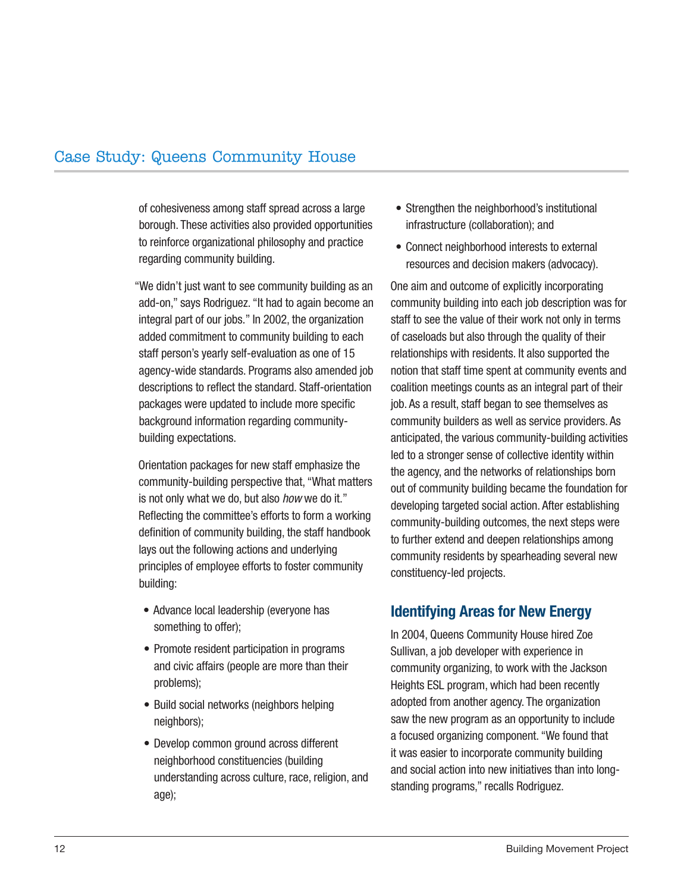of cohesiveness among staff spread across a large borough. These activities also provided opportunities to reinforce organizational philosophy and practice regarding community building.

"We didn't just want to see community building as an add-on," says Rodriguez. "It had to again become an integral part of our jobs." In 2002, the organization added commitment to community building to each staff person's yearly self-evaluation as one of 15 agency-wide standards. Programs also amended job descriptions to reflect the standard. Staff-orientation packages were updated to include more specific background information regarding communitybuilding expectations.

Orientation packages for new staff emphasize the community-building perspective that, "What matters is not only what we do, but also *how* we do it." Reflecting the committee's efforts to form a working definition of community building, the staff handbook lays out the following actions and underlying principles of employee efforts to foster community building:

- Advance local leadership (everyone has something to offer);
- Promote resident participation in programs and civic affairs (people are more than their problems);
- Build social networks (neighbors helping neighbors);
- Develop common ground across different neighborhood constituencies (building understanding across culture, race, religion, and age);
- Strengthen the neighborhood's institutional infrastructure (collaboration); and
- Connect neighborhood interests to external •resources and decision makers (advocacy).

One aim and outcome of explicitly incorporating community building into each job description was for staff to see the value of their work not only in terms of caseloads but also through the quality of their relationships with residents. It also supported the notion that staff time spent at community events and coalition meetings counts as an integral part of their job. As a result, staff began to see themselves as community builders as well as service providers. As anticipated, the various community-building activities led to a stronger sense of collective identity within the agency, and the networks of relationships born out of community building became the foundation for developing targeted social action. After establishing community-building outcomes, the next steps were to further extend and deepen relationships among community residents by spearheading several new constituency-led projects.

#### **Identifying Areas for New Energy**

In 2004, Queens Community House hired Zoe Sullivan, a job developer with experience in community organizing, to work with the Jackson Heights ESL program, which had been recently adopted from another agency. The organization saw the new program as an opportunity to include a focused organizing component. "We found that it was easier to incorporate community building and social action into new initiatives than into longstanding programs," recalls Rodriguez.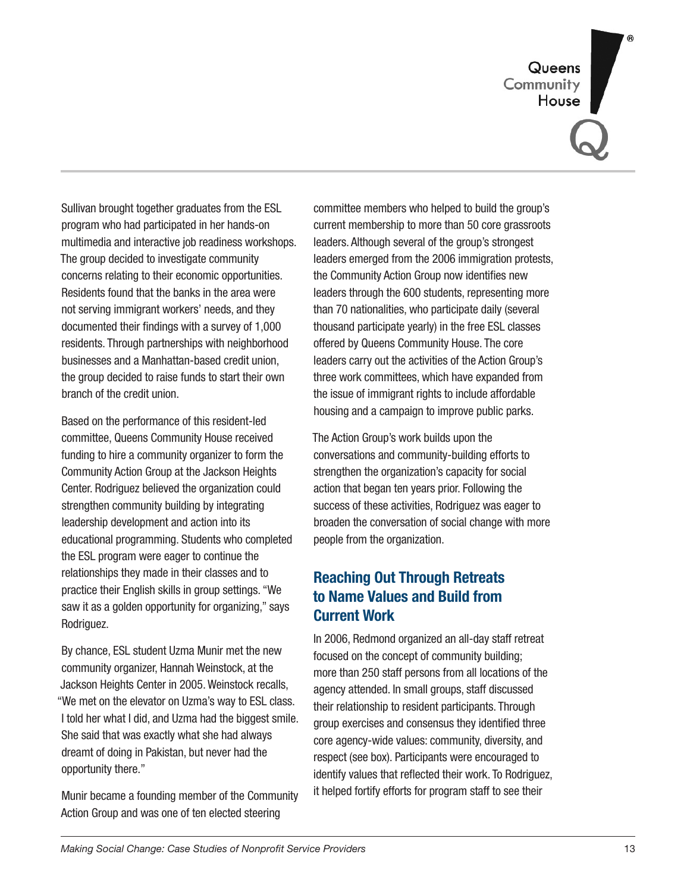Queens<br>Community<br>House

Sullivan brought together graduates from the ESL program who had participated in her hands-on multimedia and interactive job readiness workshops. The group decided to investigate community concerns relating to their economic opportunities. Residents found that the banks in the area were not serving immigrant workers' needs, and they documented their findings with a survey of 1,000 residents. Through partnerships with neighborhood businesses and a Manhattan-based credit union, the group decided to raise funds to start their own branch of the credit union.

Based on the performance of this resident-led committee, Queens Community House received funding to hire a community organizer to form the Community Action Group at the Jackson Heights Center. Rodriguez believed the organization could strengthen community building by integrating leadership development and action into its educational programming. Students who completed the ESL program were eager to continue the relationships they made in their classes and to practice their English skills in group settings. "We saw it as a golden opportunity for organizing," says Rodriguez.

By chance, ESL student Uzma Munir met the new community organizer, Hannah Weinstock, at the Jackson Heights Center in 2005. Weinstock recalls, "We met on the elevator on Uzma's way to ESL class. I told her what I did, and Uzma had the biggest smile. She said that was exactly what she had always dreamt of doing in Pakistan, but never had the opportunity there."

Munir became a founding member of the Community Action Group and was one of ten elected steering

committee members who helped to build the group's current membership to more than 50 core grassroots leaders. Although several of the group's strongest leaders emerged from the 2006 immigration protests, the Community Action Group now identifies new leaders through the 600 students, representing more than 70 nationalities, who participate daily (several thousand participate yearly) in the free ESL classes offered by Queens Community House. The core leaders carry out the activities of the Action Group's three work committees, which have expanded from the issue of immigrant rights to include affordable housing and a campaign to improve public parks.

The Action Group's work builds upon the conversations and community-building efforts to strengthen the organization's capacity for social action that began ten years prior. Following the success of these activities, Rodriguez was eager to broaden the conversation of social change with more people from the organization.

## **Reaching Out Through Retreats to Name Values and Build from Current Work**

In 2006, Redmond organized an all-day staff retreat focused on the concept of community building; more than 250 staff persons from all locations of the agency attended. In small groups, staff discussed their relationship to resident participants. Through group exercises and consensus they identified three core agency-wide values: community, diversity, and respect (see box). Participants were encouraged to identify values that reflected their work. To Rodriguez, it helped fortify efforts for program staff to see their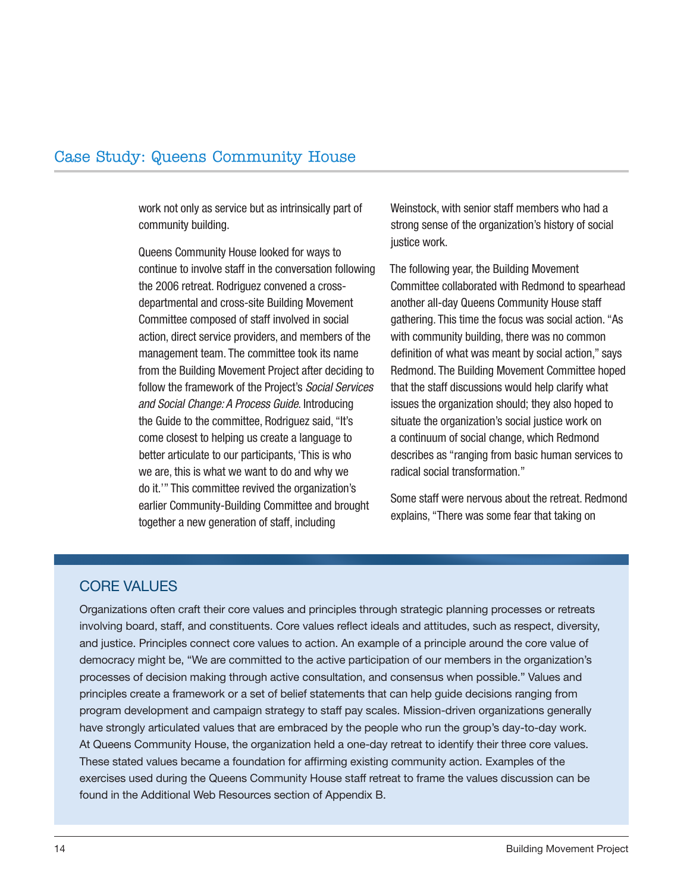work not only as service but as intrinsically part of community building.

Queens Community House looked for ways to continue to involve staff in the conversation following the 2006 retreat. Rodriguez convened a crossdepartmental and cross-site Building Movement Committee composed of staff involved in social action, direct service providers, and members of the management team. The committee took its name from the Building Movement Project after deciding to follow the framework of the Project's *Social Services and Social Change: A Process Guide*. Introducing the Guide to the committee, Rodriguez said, "It's come closest to helping us create a language to better articulate to our participants, 'This is who we are, this is what we want to do and why we do it.'" This committee revived the organization's earlier Community-Building Committee and brought together a new generation of staff, including

Weinstock, with senior staff members who had a strong sense of the organization's history of social justice work.

The following year, the Building Movement Committee collaborated with Redmond to spearhead another all-day Queens Community House staff gathering. This time the focus was social action. "As with community building, there was no common definition of what was meant by social action," says Redmond. The Building Movement Committee hoped that the staff discussions would help clarify what issues the organization should; they also hoped to situate the organization's social justice work on a continuum of social change, which Redmond describes as "ranging from basic human services to radical social transformation."

Some staff were nervous about the retreat. Redmond explains, "There was some fear that taking on

#### CORE VALUES

Organizations often craft their core values and principles through strategic planning processes or retreats involving board, staff, and constituents. Core values reflect ideals and attitudes, such as respect, diversity, and justice. Principles connect core values to action. An example of a principle around the core value of democracy might be, "We are committed to the active participation of our members in the organization's processes of decision making through active consultation, and consensus when possible." Values and principles create a framework or a set of belief statements that can help guide decisions ranging from program development and campaign strategy to staff pay scales. Mission-driven organizations generally have strongly articulated values that are embraced by the people who run the group's day-to-day work. At Queens Community House, the organization held a one-day retreat to identify their three core values. These stated values became a foundation for affirming existing community action. Examples of the exercises used during the Queens Community House staff retreat to frame the values discussion can be found in the Additional Web Resources section of Appendix B.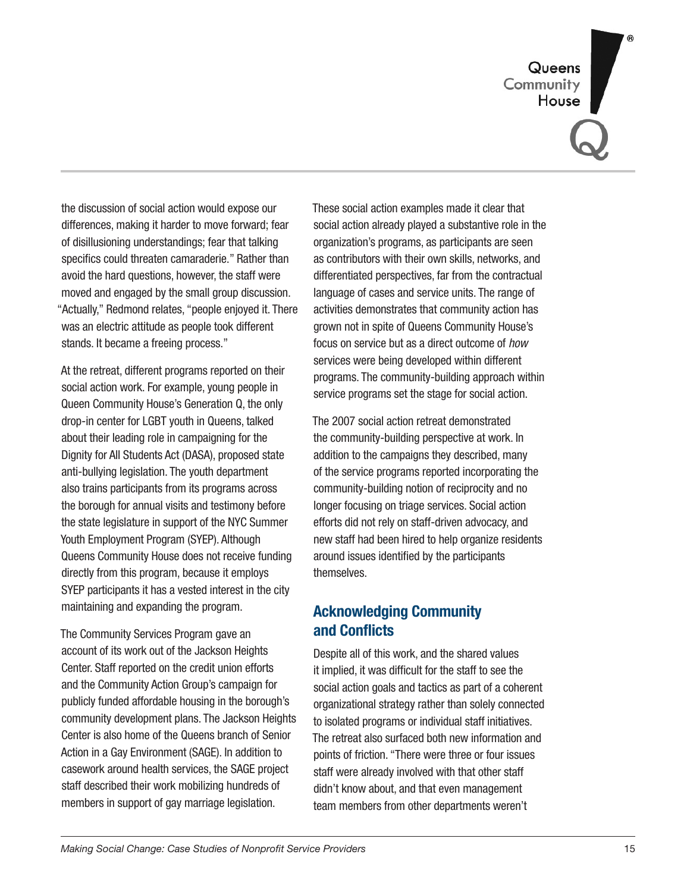Queens<br>Community House

the discussion of social action would expose our differences, making it harder to move forward; fear of disillusioning understandings; fear that talking specifics could threaten camaraderie." Rather than avoid the hard questions, however, the staff were moved and engaged by the small group discussion. "Actually," Redmond relates, "people enjoyed it. There was an electric attitude as people took different stands. It became a freeing process."

At the retreat, different programs reported on their social action work. For example, young people in Queen Community House's Generation Q, the only drop-in center for LGBT youth in Queens, talked about their leading role in campaigning for the Dignity for All Students Act (DASA), proposed state anti-bullying legislation. The youth department also trains participants from its programs across the borough for annual visits and testimony before the state legislature in support of the NYC Summer Youth Employment Program (SYEP). Although Queens Community House does not receive funding directly from this program, because it employs SYEP participants it has a vested interest in the city maintaining and expanding the program.

The Community Services Program gave an account of its work out of the Jackson Heights Center. Staff reported on the credit union efforts and the Community Action Group's campaign for publicly funded affordable housing in the borough's community development plans. The Jackson Heights Center is also home of the Queens branch of Senior Action in a Gay Environment (SAGE). In addition to casework around health services, the SAGE project staff described their work mobilizing hundreds of members in support of gay marriage legislation.

These social action examples made it clear that social action already played a substantive role in the organization's programs, as participants are seen as contributors with their own skills, networks, and differentiated perspectives, far from the contractual language of cases and service units. The range of activities demonstrates that community action has grown not in spite of Queens Community House's focus on service but as a direct outcome of *how* services were being developed within different programs. The community-building approach within service programs set the stage for social action.

The 2007 social action retreat demonstrated the community-building perspective at work. In addition to the campaigns they described, many of the service programs reported incorporating the community-building notion of reciprocity and no longer focusing on triage services. Social action efforts did not rely on staff-driven advocacy, and new staff had been hired to help organize residents around issues identified by the participants themselves.

#### **Acknowledging Community and Conflicts**

Despite all of this work, and the shared values it implied, it was difficult for the staff to see the social action goals and tactics as part of a coherent organizational strategy rather than solely connected to isolated programs or individual staff initiatives. The retreat also surfaced both new information and points of friction. "There were three or four issues staff were already involved with that other staff didn't know about, and that even management team members from other departments weren't